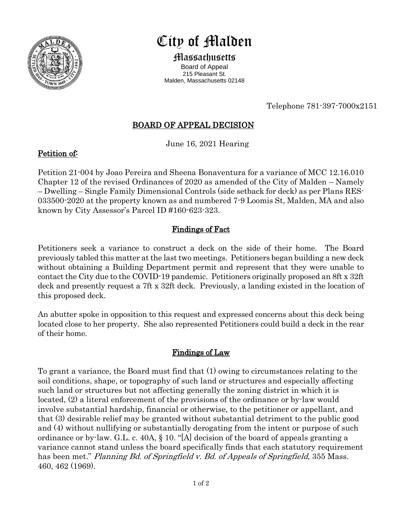

# City of Malden

Massachusetts Board of Appeal 215 Pleasant St.

Malden, Massachusetts 02148

Telephone 781-397-7000x2151

# BOARD OF APPEAL DECISION

June 16, 2021 Hearing

#### Petition of:

Petition 21-004 by Joao Pereira and Sheena Bonaventura for a variance of MCC 12.16.010 Chapter 12 of the revised Ordinances of 2020 as amended of the City of Malden – Namely – Dwelling – Single Family Dimensional Controls (side setback for deck) as per Plans RES-033500-2020 at the property known as and numbered 7-9 Loomis St, Malden, MA and also known by City Assessor's Parcel ID #160-623-323.

## Findings of Fact

Petitioners seek a variance to construct a deck on the side of their home. The Board previously tabled this matter at the last two meetings. Petitioners began building a new deck without obtaining a Building Department permit and represent that they were unable to contact the City due to the COVID-19 pandemic. Petitioners originally proposed an 8ft x 32ft deck and presently request a 7ft x 32ft deck. Previously, a landing existed in the location of this proposed deck.

An abutter spoke in opposition to this request and expressed concerns about this deck being located close to her property. She also represented Petitioners could build a deck in the rear of their home.

## Findings of Law

To grant a variance, the Board must find that (1) owing to circumstances relating to the soil conditions, shape, or topography of such land or structures and especially affecting such land or structures but not affecting generally the zoning district in which it is located, (2) a literal enforcement of the provisions of the ordinance or by-law would involve substantial hardship, financial or otherwise, to the petitioner or appellant, and that (3) desirable relief may be granted without substantial detriment to the public good and (4) without nullifying or substantially derogating from the intent or purpose of such ordinance or by-law. G.L. c. 40A,  $\S$  10. "[A] decision of the board of appeals granting a variance cannot stand unless the board specifically finds that each statutory requirement has been met." *Planning Bd. of Springfield v. Bd. of Appeals of Springfield*, 355 Mass. 460, 462 (1969).